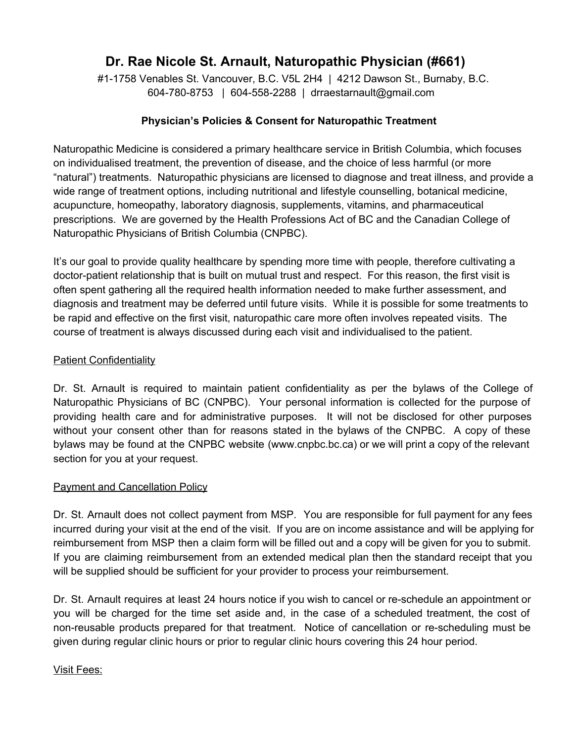# **Dr. Rae Nicole St. Arnault, Naturopathic Physician (#661)**

#11758 Venables St. Vancouver, B.C. V5L 2H4 | 4212 Dawson St., Burnaby, B.C. 6047808753 | 6045582288 | drraestarnault@gmail.com

## **Physician's Policies & Consent for Naturopathic Treatment**

Naturopathic Medicine is considered a primary healthcare service in British Columbia, which focuses on individualised treatment, the prevention of disease, and the choice of less harmful (or more "natural") treatments. Naturopathic physicians are licensed to diagnose and treat illness, and provide a wide range of treatment options, including nutritional and lifestyle counselling, botanical medicine, acupuncture, homeopathy, laboratory diagnosis, supplements, vitamins, and pharmaceutical prescriptions. We are governed by the Health Professions Act of BC and the Canadian College of Naturopathic Physicians of British Columbia (CNPBC).

It's our goal to provide quality healthcare by spending more time with people, therefore cultivating a doctor-patient relationship that is built on mutual trust and respect. For this reason, the first visit is often spent gathering all the required health information needed to make further assessment, and diagnosis and treatment may be deferred until future visits. While it is possible for some treatments to be rapid and effective on the first visit, naturopathic care more often involves repeated visits. The course of treatment is always discussed during each visit and individualised to the patient.

### **Patient Confidentiality**

Dr. St. Arnault is required to maintain patient confidentiality as per the bylaws of the College of Naturopathic Physicians of BC (CNPBC). Your personal information is collected for the purpose of providing health care and for administrative purposes. It will not be disclosed for other purposes without your consent other than for reasons stated in the bylaws of the CNPBC. A copy of these bylaws may be found at the CNPBC website (www.cnpbc.bc.ca) or we will print a copy of the relevant section for you at your request.

## Payment and Cancellation Policy

Dr. St. Arnault does not collect payment from MSP. You are responsible for full payment for any fees incurred during your visit at the end of the visit. If you are on income assistance and will be applying for reimbursement from MSP then a claim form will be filled out and a copy will be given for you to submit. If you are claiming reimbursement from an extended medical plan then the standard receipt that you will be supplied should be sufficient for your provider to process your reimbursement.

Dr. St. Arnault requires at least 24 hours notice if you wish to cancel or re-schedule an appointment or you will be charged for the time set aside and, in the case of a scheduled treatment, the cost of non-reusable products prepared for that treatment. Notice of cancellation or re-scheduling must be given during regular clinic hours or prior to regular clinic hours covering this 24 hour period.

#### Visit Fees: